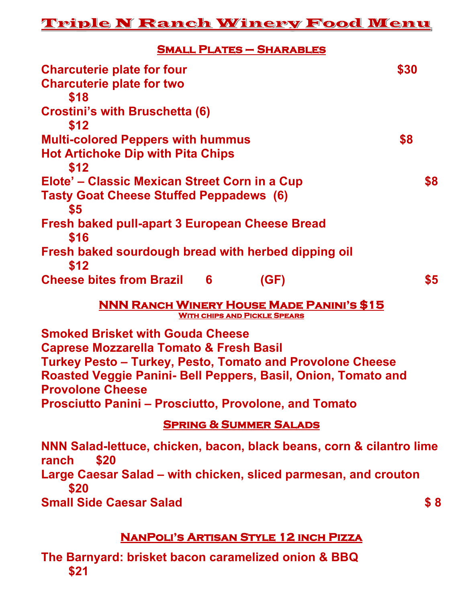## Triple N Ranch Winery Food Wenu

**Small Plates – Sharables** 

| <b>Charcuterie plate for four</b>                             | \$30 |
|---------------------------------------------------------------|------|
| <b>Charcuterie plate for two</b>                              |      |
| \$18                                                          |      |
| <b>Crostini's with Bruschetta (6)</b>                         |      |
| \$12                                                          |      |
| <b>Multi-colored Peppers with hummus</b>                      | \$8  |
| <b>Hot Artichoke Dip with Pita Chips</b>                      |      |
| \$12                                                          |      |
| Elote' – Classic Mexican Street Corn in a Cup                 | \$8  |
| <b>Tasty Goat Cheese Stuffed Peppadews (6)</b>                |      |
| \$5                                                           |      |
| <b>Fresh baked pull-apart 3 European Cheese Bread</b><br>\$16 |      |
| Fresh baked sourdough bread with herbed dipping oil<br>\$12   |      |
| <b>Cheese bites from Brazil</b><br>6<br>(GF)                  | \$5  |

**NNN Ranch Winery House Made Panini's \$15 With chips and Pickle Spears** 

**Smoked Brisket with Gouda Cheese Caprese Mozzarella Tomato & Fresh Basil Turkey Pesto – Turkey, Pesto, Tomato and Provolone Cheese Roasted Veggie Panini- Bell Peppers, Basil, Onion, Tomato and Provolone Cheese Prosciutto Panini – Prosciutto, Provolone, and Tomato**

## **Spring & Summer Salads**

**NNN Salad-lettuce, chicken, bacon, black beans, corn & cilantro lime ranch \$20 Large Caesar Salad – with chicken, sliced parmesan, and crouton \$20 Small Side Caesar Salad \$ 8** 

## **NanPoli's Artisan Style 12 inch Pizza**

**The Barnyard: brisket bacon caramelized onion & BBQ \$21**